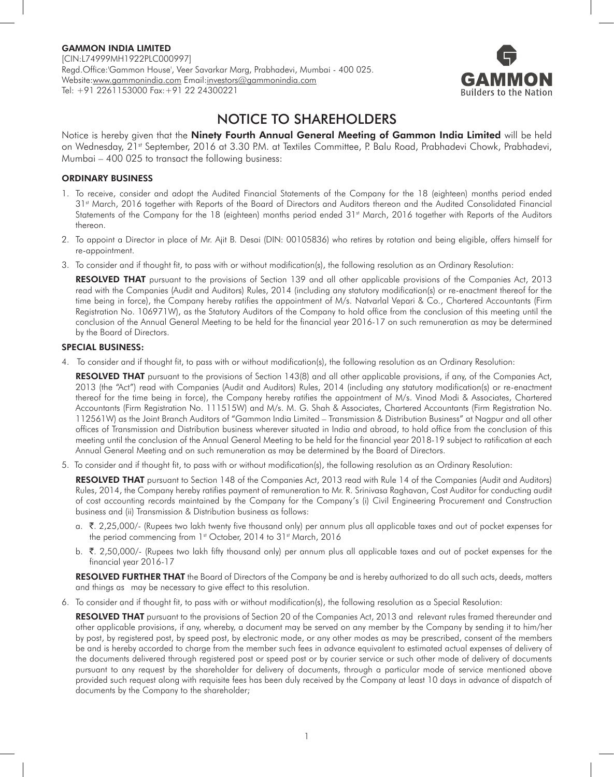

# NOTICE TO SHAREHOLDERS

Notice is hereby given that the Ninety Fourth Annual General Meeting of Gammon India Limited will be held on Wednesday, 21<sup>st</sup> September, 2016 at 3.30 P.M. at Textiles Committee, P. Balu Road, Prabhadevi Chowk, Prabhadevi, Mumbai – 400 025 to transact the following business:

#### ORDINARY BUSINESS

- 1. To receive, consider and adopt the Audited Financial Statements of the Company for the 18 (eighteen) months period ended 31st March, 2016 together with Reports of the Board of Directors and Auditors thereon and the Audited Consolidated Financial Statements of the Company for the 18 (eighteen) months period ended 31<sup>st</sup> March, 2016 together with Reports of the Auditors thereon.
- 2. To appoint a Director in place of Mr. Ajit B. Desai (DIN: 00105836) who retires by rotation and being eligible, offers himself for re-appointment.
- 3. To consider and if thought fit, to pass with or without modification(s), the following resolution as an Ordinary Resolution:

RESOLVED THAT pursuant to the provisions of Section 139 and all other applicable provisions of the Companies Act, 2013 read with the Companies (Audit and Auditors) Rules, 2014 (including any statutory modification(s) or re-enactment thereof for the time being in force), the Company hereby ratifies the appointment of M/s. Natvarlal Vepari & Co., Chartered Accountants (Firm Registration No. 106971W), as the Statutory Auditors of the Company to hold office from the conclusion of this meeting until the conclusion of the Annual General Meeting to be held for the financial year 2016-17 on such remuneration as may be determined by the Board of Directors.

#### SPECIAL BUSINESS:

4. To consider and if thought fit, to pass with or without modification(s), the following resolution as an Ordinary Resolution:

RESOLVED THAT pursuant to the provisions of Section 143(8) and all other applicable provisions, if any, of the Companies Act, 2013 (the "Act") read with Companies (Audit and Auditors) Rules, 2014 (including any statutory modification(s) or re-enactment thereof for the time being in force), the Company hereby ratifies the appointment of M/s. Vinod Modi & Associates, Chartered Accountants (Firm Registration No. 111515W) and M/s. M. G. Shah & Associates, Chartered Accountants (Firm Registration No. 112561W) as the Joint Branch Auditors of "Gammon India Limited – Transmission & Distribution Business" at Nagpur and all other offices of Transmission and Distribution business wherever situated in India and abroad, to hold office from the conclusion of this meeting until the conclusion of the Annual General Meeting to be held for the financial year 2018-19 subject to ratification at each Annual General Meeting and on such remuneration as may be determined by the Board of Directors.

5. To consider and if thought fit, to pass with or without modification(s), the following resolution as an Ordinary Resolution:

RESOLVED THAT pursuant to Section 148 of the Companies Act, 2013 read with Rule 14 of the Companies (Audit and Auditors) Rules, 2014, the Company hereby ratifies payment of remuneration to Mr. R. Srinivasa Raghavan, Cost Auditor for conducting audit of cost accounting records maintained by the Company for the Company's (i) Civil Engineering Procurement and Construction business and (ii) Transmission & Distribution business as follows:

- a. ₹. 2,25,000/- (Rupees two lakh twenty five thousand only) per annum plus all applicable taxes and out of pocket expenses for the period commencing from 1st October, 2014 to 31st March, 2016
- b. ₹. 2,50,000/- (Rupees two lakh fifty thousand only) per annum plus all applicable taxes and out of pocket expenses for the financial year 2016-17

RESOLVED FURTHER THAT the Board of Directors of the Company be and is hereby authorized to do all such acts, deeds, matters and things as may be necessary to give effect to this resolution.

6. To consider and if thought fit, to pass with or without modification(s), the following resolution as a Special Resolution:

RESOLVED THAT pursuant to the provisions of Section 20 of the Companies Act, 2013 and relevant rules framed thereunder and other applicable provisions, if any, whereby, a document may be served on any member by the Company by sending it to him/her by post, by registered post, by speed post, by electronic mode, or any other modes as may be prescribed, consent of the members be and is hereby accorded to charge from the member such fees in advance equivalent to estimated actual expenses of delivery of the documents delivered through registered post or speed post or by courier service or such other mode of delivery of documents pursuant to any request by the shareholder for delivery of documents, through a particular mode of service mentioned above provided such request along with requisite fees has been duly received by the Company at least 10 days in advance of dispatch of documents by the Company to the shareholder;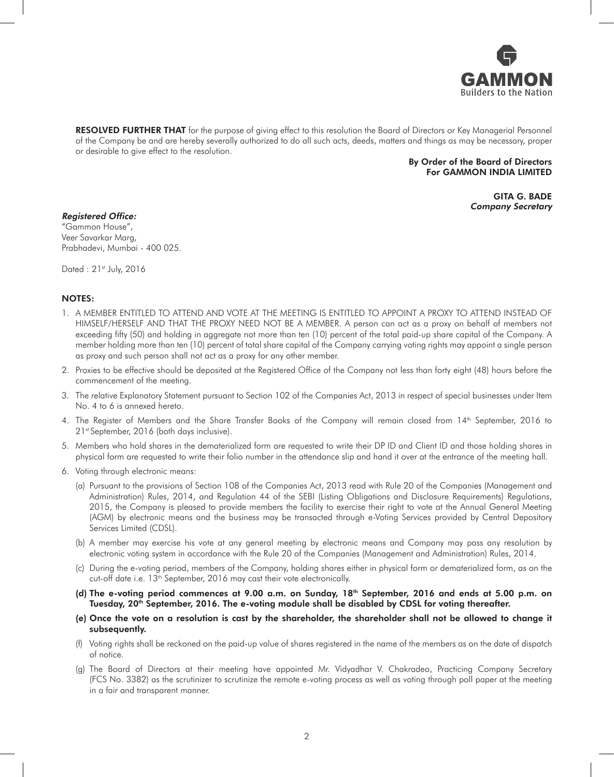

RESOLVED FURTHER THAT for the purpose of giving effect to this resolution the Board of Directors or Key Managerial Personnel of the Company be and are hereby severally authorized to do all such acts, deeds, matters and things as may be necessary, proper or desirable to give effect to the resolution.

#### By Order of the Board of Directors For GAMMON INDIA LIMITED

GITA G. BADE Company Secretary

#### Registered Office:

"Gammon House", Veer Savarkar Marg, Prabhadevi, Mumbai - 400 025.

Dated: 21<sup>st</sup> July, 2016

#### NOTES:

- 1. A MEMBER ENTITLED TO ATTEND AND VOTE AT THE MEETING IS ENTITLED TO APPOINT A PROXY TO ATTEND INSTEAD OF HIMSELF/HERSELF AND THAT THE PROXY NEED NOT BE A MEMBER. A person can act as a proxy on behalf of members not exceeding fifty (50) and holding in aggregate not more than ten (10) percent of the total paid-up share capital of the Company. A member holding more than ten (10) percent of total share capital of the Company carrying voting rights may appoint a single person as proxy and such person shall not act as a proxy for any other member.
- 2. Proxies to be effective should be deposited at the Registered Office of the Company not less than forty eight (48) hours before the commencement of the meeting.
- 3. The relative Explanatory Statement pursuant to Section 102 of the Companies Act, 2013 in respect of special businesses under Item No. 4 to 6 is annexed hereto.
- 4. The Register of Members and the Share Transfer Books of the Company will remain closed from 14th September, 2016 to 21st September, 2016 (both days inclusive).
- 5. Members who hold shares in the dematerialized form are requested to write their DP ID and Client ID and those holding shares in physical form are requested to write their folio number in the attendance slip and hand it over at the entrance of the meeting hall.
- 6. Voting through electronic means:
	- (a) Pursuant to the provisions of Section 108 of the Companies Act, 2013 read with Rule 20 of the Companies (Management and Administration) Rules, 2014, and Regulation 44 of the SEBI (Listing Obligations and Disclosure Requirements) Regulations, 2015, the Company is pleased to provide members the facility to exercise their right to vote at the Annual General Meeting (AGM) by electronic means and the business may be transacted through e-Voting Services provided by Central Depository Services Limited (CDSL).
	- (b) A member may exercise his vote at any general meeting by electronic means and Company may pass any resolution by electronic voting system in accordance with the Rule 20 of the Companies (Management and Administration) Rules, 2014.
	- (c) During the e-voting period, members of the Company, holding shares either in physical form or dematerialized form, as on the cut-off date i.e. 13<sup>th</sup> September, 2016 may cast their vote electronically.
	- (d) The e-voting period commences at 9.00 a.m. on Sunday, 18<sup>th</sup> September, 2016 and ends at 5.00 p.m. on Tuesday, 20<sup>th</sup> September, 2016. The e-voting module shall be disabled by CDSL for voting thereafter.
	- (e) Once the vote on a resolution is cast by the shareholder, the shareholder shall not be allowed to change it subsequently.
	- (f) Voting rights shall be reckoned on the paid-up value of shares registered in the name of the members as on the date of dispatch of notice.
	- (g) The Board of Directors at their meeting have appointed Mr. Vidyadhar V. Chakradeo, Practicing Company Secretary (FCS No. 3382) as the scrutinizer to scrutinize the remote e-voting process as well as voting through poll paper at the meeting in a fair and transparent manner.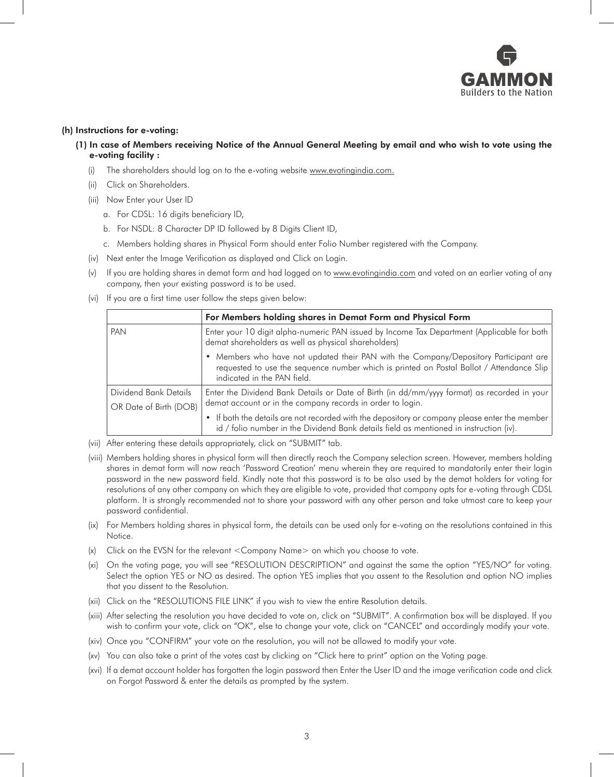

#### (h) Instructions for e-voting:

- (1) In case of Members receiving Notice of the Annual General Meeting by email and who wish to vote using the e-voting facility :
	- (i) The shareholders should log on to the e-voting website www.evotingindia.com.
	- (ii) Click on Shareholders.
	- (iii) Now Enter your User ID
		- a. For CDSL: 16 digits beneficiary ID,
		- b. For NSDL: 8 Character DP ID followed by 8 Digits Client ID,
		- c. Members holding shares in Physical Form should enter Folio Number registered with the Company.
	- (iv) Next enter the Image Verification as displayed and Click on Login.
	- (v) If you are holding shares in demat form and had logged on to www.evotingindia.com and voted on an earlier voting of any company, then your existing password is to be used.
	- (vi) If you are a first time user follow the steps given below:

|                        | For Members holding shares in Demat Form and Physical Form                                                                                                                                                      |  |
|------------------------|-----------------------------------------------------------------------------------------------------------------------------------------------------------------------------------------------------------------|--|
| PAN                    | Enter your 10 digit alpha-numeric PAN issued by Income Tax Department (Applicable for both  <br>demat shareholders as well as physical shareholders)                                                            |  |
|                        | • Members who have not updated their PAN with the Company/Depository Participant are<br>requested to use the sequence number which is printed on Postal Ballot / Attendance Slip<br>indicated in the PAN field. |  |
| Dividend Bank Details  | Enter the Dividend Bank Details or Date of Birth (in dd/mm/yyyy format) as recorded in your<br>demat account or in the company records in order to login.                                                       |  |
| OR Date of Birth (DOB) |                                                                                                                                                                                                                 |  |
|                        | • If both the details are not recorded with the depository or company please enter the member<br>id / folio number in the Dividend Bank details field as mentioned in instruction (iv).                         |  |

- (vii) After entering these details appropriately, click on "SUBMIT" tab.
- (viii) Members holding shares in physical form will then directly reach the Company selection screen. However, members holding shares in demat form will now reach 'Password Creation' menu wherein they are required to mandatorily enter their login password in the new password field. Kindly note that this password is to be also used by the demat holders for voting for resolutions of any other company on which they are eligible to vote, provided that company opts for e-voting through CDSL platform. It is strongly recommended not to share your password with any other person and take utmost care to keep your password confidential.
- (ix) For Members holding shares in physical form, the details can be used only for e-voting on the resolutions contained in this Notice.
- (x) Click on the EVSN for the relevant <Company Name> on which you choose to vote.
- (xi) On the voting page, you will see "RESOLUTION DESCRIPTION" and against the same the option "YES/NO" for voting. Select the option YES or NO as desired. The option YES implies that you assent to the Resolution and option NO implies that you dissent to the Resolution.
- (xii) Click on the "RESOLUTIONS FILE LINK" if you wish to view the entire Resolution details.
- (xiii) After selecting the resolution you have decided to vote on, click on "SUBMIT". A confirmation box will be displayed. If you wish to confirm your vote, click on "OK", else to change your vote, click on "CANCEL" and accordingly modify your vote.
- (xiv) Once you "CONFIRM" your vote on the resolution, you will not be allowed to modify your vote.
- (xv) You can also take a print of the votes cast by clicking on "Click here to print" option on the Voting page.
- (xvi) If a demat account holder has forgotten the login password then Enter the User ID and the image verification code and click on Forgot Password & enter the details as prompted by the system.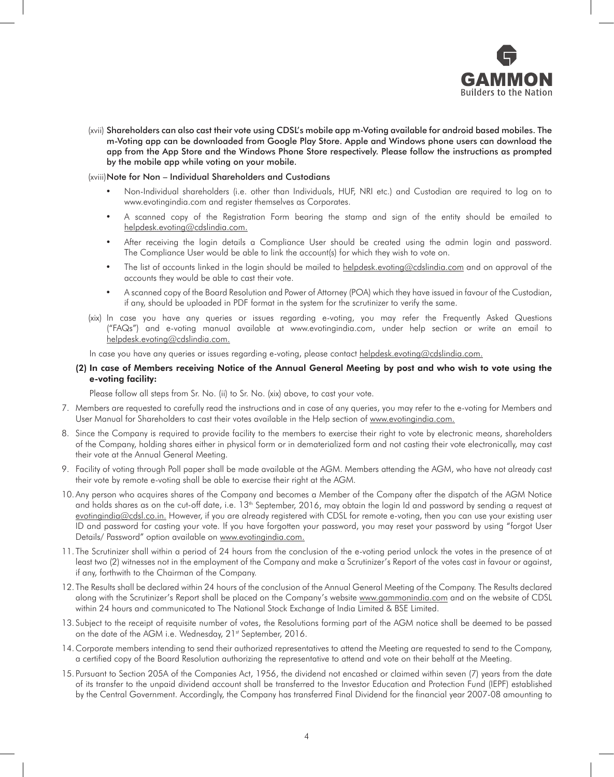

(xvii) Shareholders can also cast their vote using CDSL's mobile app m-Voting available for android based mobiles. The m-Voting app can be downloaded from Google Play Store. Apple and Windows phone users can download the app from the App Store and the Windows Phone Store respectively. Please follow the instructions as prompted by the mobile app while voting on your mobile.

#### (xviii)Note for Non – Individual Shareholders and Custodians

- Non-Individual shareholders (i.e. other than Individuals, HUF, NRI etc.) and Custodian are required to log on to www.evotingindia.com and register themselves as Corporates.
- A scanned copy of the Registration Form bearing the stamp and sign of the entity should be emailed to helpdesk.evoting@cdslindia.com.
- After receiving the login details a Compliance User should be created using the admin login and password. The Compliance User would be able to link the account(s) for which they wish to vote on.
- The list of accounts linked in the login should be mailed to helpdesk.evoting@cdslindia.com and on approval of the accounts they would be able to cast their vote.
- • A scanned copy of the Board Resolution and Power of Attorney (POA) which they have issued in favour of the Custodian, if any, should be uploaded in PDF format in the system for the scrutinizer to verify the same.
- (xix) In case you have any queries or issues regarding e-voting, you may refer the Frequently Asked Questions ("FAQs") and e-voting manual available at www.evotingindia.com, under help section or write an email to helpdesk.evoting@cdslindia.com.

In case you have any queries or issues regarding e-voting, please contact helpdesk.evoting@cdslindia.com.

#### (2) In case of Members receiving Notice of the Annual General Meeting by post and who wish to vote using the e-voting facility:

Please follow all steps from Sr. No. (ii) to Sr. No. (xix) above, to cast your vote.

- 7. Members are requested to carefully read the instructions and in case of any queries, you may refer to the e-voting for Members and User Manual for Shareholders to cast their votes available in the Help section of www.evotingindia.com.
- 8. Since the Company is required to provide facility to the members to exercise their right to vote by electronic means, shareholders of the Company, holding shares either in physical form or in dematerialized form and not casting their vote electronically, may cast their vote at the Annual General Meeting.
- 9. Facility of voting through Poll paper shall be made available at the AGM. Members attending the AGM, who have not already cast their vote by remote e-voting shall be able to exercise their right at the AGM.
- 10. Any person who acquires shares of the Company and becomes a Member of the Company after the dispatch of the AGM Notice and holds shares as on the cut-off date, i.e. 13<sup>th</sup> September, 2016, may obtain the login Id and password by sending a request at evotingindia@cdsl.co.in. However, if you are already registered with CDSL for remote e-voting, then you can use your existing user ID and password for casting your vote. If you have forgotten your password, you may reset your password by using "forgot User Details/ Password" option available on www.evotingindia.com.
- 11. The Scrutinizer shall within a period of 24 hours from the conclusion of the e-voting period unlock the votes in the presence of at least two (2) witnesses not in the employment of the Company and make a Scrutinizer's Report of the votes cast in favour or against, if any, forthwith to the Chairman of the Company.
- 12. The Results shall be declared within 24 hours of the conclusion of the Annual General Meeting of the Company. The Results declared along with the Scrutinizer's Report shall be placed on the Company's website www.gammonindia.com and on the website of CDSL within 24 hours and communicated to The National Stock Exchange of India Limited & BSE Limited.
- 13. Subject to the receipt of requisite number of votes, the Resolutions forming part of the AGM notice shall be deemed to be passed on the date of the AGM i.e. Wednesday, 21st September, 2016.
- 14. Corporate members intending to send their authorized representatives to attend the Meeting are requested to send to the Company, a certified copy of the Board Resolution authorizing the representative to attend and vote on their behalf at the Meeting.
- 15. Pursuant to Section 205A of the Companies Act, 1956, the dividend not encashed or claimed within seven (7) years from the date of its transfer to the unpaid dividend account shall be transferred to the Investor Education and Protection Fund (IEPF) established by the Central Government. Accordingly, the Company has transferred Final Dividend for the financial year 2007-08 amounting to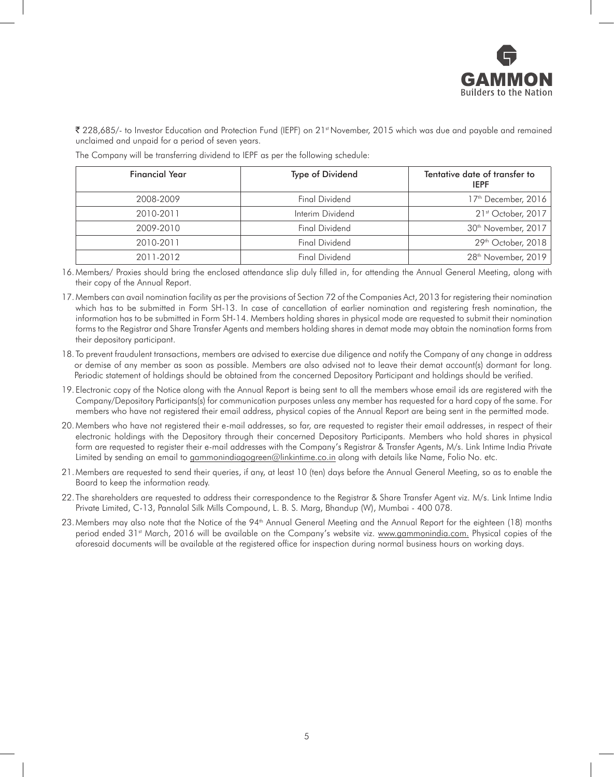

` 228,685/- to Investor Education and Protection Fund (IEPF) on 21st November, 2015 which was due and payable and remained unclaimed and unpaid for a period of seven years.

| <b>Financial Year</b> | Type of Dividend      | Tentative date of transfer to<br><b>IEPF</b> |
|-----------------------|-----------------------|----------------------------------------------|
| 2008-2009             | <b>Final Dividend</b> | 17 <sup>th</sup> December, 2016              |
| 2010-2011             | Interim Dividend      | 21st October, 2017                           |
| 2009-2010             | <b>Final Dividend</b> | 30 <sup>th</sup> November, 2017              |
| 2010-2011             | <b>Final Dividend</b> | 29th October, 2018                           |
| 2011-2012             | <b>Final Dividend</b> | 28 <sup>th</sup> November, 2019              |

The Company will be transferring dividend to IEPF as per the following schedule:

16. Members/ Proxies should bring the enclosed attendance slip duly filled in, for attending the Annual General Meeting, along with their copy of the Annual Report.

- 17. Members can avail nomination facility as per the provisions of Section 72 of the Companies Act, 2013 for registering their nomination which has to be submitted in Form SH-13. In case of cancellation of earlier nomination and registering fresh nomination, the information has to be submitted in Form SH-14. Members holding shares in physical mode are requested to submit their nomination forms to the Registrar and Share Transfer Agents and members holding shares in demat mode may obtain the nomination forms from their depository participant.
- 18. To prevent fraudulent transactions, members are advised to exercise due diligence and notify the Company of any change in address or demise of any member as soon as possible. Members are also advised not to leave their demat account(s) dormant for long. Periodic statement of holdings should be obtained from the concerned Depository Participant and holdings should be verified.
- 19. Electronic copy of the Notice along with the Annual Report is being sent to all the members whose email ids are registered with the Company/Depository Participants(s) for communication purposes unless any member has requested for a hard copy of the same. For members who have not registered their email address, physical copies of the Annual Report are being sent in the permitted mode.
- 20. Members who have not registered their e-mail addresses, so far, are requested to register their email addresses, in respect of their electronic holdings with the Depository through their concerned Depository Participants. Members who hold shares in physical form are requested to register their e-mail addresses with the Company's Registrar & Transfer Agents, M/s. Link Intime India Private Limited by sending an email to gammonindiagogreen@linkintime.co.in along with details like Name, Folio No. etc.
- 21. Members are requested to send their queries, if any, at least 10 (ten) days before the Annual General Meeting, so as to enable the Board to keep the information ready.
- 22. The shareholders are requested to address their correspondence to the Registrar & Share Transfer Agent viz. M/s. Link Intime India Private Limited, C-13, Pannalal Silk Mills Compound, L. B. S. Marg, Bhandup (W), Mumbai - 400 078.
- 23. Members may also note that the Notice of the 94<sup>th</sup> Annual General Meeting and the Annual Report for the eighteen (18) months period ended 31<sup>st</sup> March, 2016 will be available on the Company's website viz. www.gammonindia.com. Physical copies of the aforesaid documents will be available at the registered office for inspection during normal business hours on working days.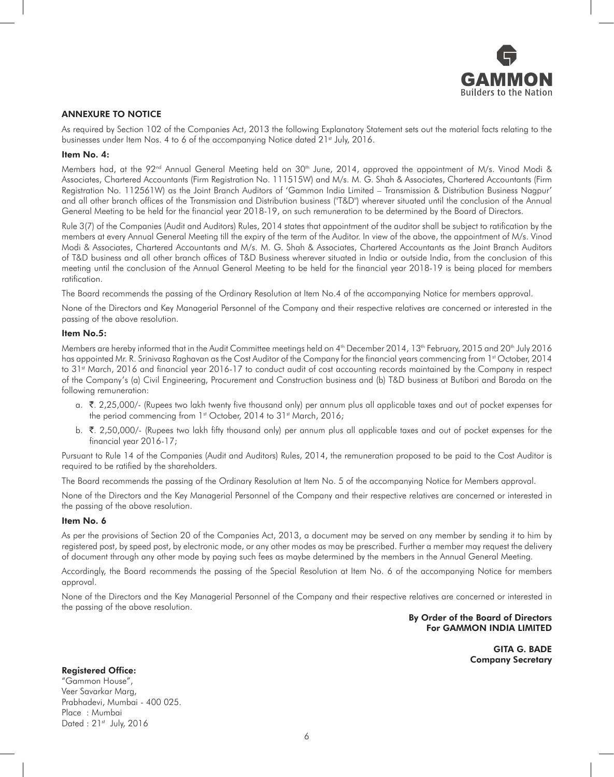

#### ANNEXURE TO NOTICE

As required by Section 102 of the Companies Act, 2013 the following Explanatory Statement sets out the material facts relating to the businesses under Item Nos. 4 to 6 of the accompanying Notice dated 21<sup>st</sup> July, 2016.

#### Item No. 4:

Members had, at the 92<sup>nd</sup> Annual General Meeting held on 30<sup>th</sup> June, 2014, approved the appointment of M/s. Vinod Modi & Associates, Chartered Accountants (Firm Registration No. 111515W) and M/s. M. G. Shah & Associates, Chartered Accountants (Firm Registration No. 112561W) as the Joint Branch Auditors of 'Gammon India Limited – Transmission & Distribution Business Nagpur' and all other branch offices of the Transmission and Distribution business (''T&D") wherever situated until the conclusion of the Annual General Meeting to be held for the financial year 2018-19, on such remuneration to be determined by the Board of Directors.

Rule 3(7) of the Companies (Audit and Auditors) Rules, 2014 states that appointment of the auditor shall be subject to ratification by the members at every Annual General Meeting till the expiry of the term of the Auditor. In view of the above, the appointment of M/s. Vinod Modi & Associates, Chartered Accountants and M/s. M. G. Shah & Associates, Chartered Accountants as the Joint Branch Auditors of T&D business and all other branch offices of T&D Business wherever situated in India or outside India, from the conclusion of this meeting until the conclusion of the Annual General Meeting to be held for the financial year 2018-19 is being placed for members ratification.

The Board recommends the passing of the Ordinary Resolution at Item No.4 of the accompanying Notice for members approval.

None of the Directors and Key Managerial Personnel of the Company and their respective relatives are concerned or interested in the passing of the above resolution.

#### Item No.5:

Members are hereby informed that in the Audit Committee meetings held on 4<sup>th</sup> December 2014, 13<sup>th</sup> February, 2015 and 20<sup>th</sup> July 2016 has appointed Mr. R. Srinivasa Raghavan as the Cost Auditor of the Company for the financial years commencing from 1st October, 2014 to 31<sup>st</sup> March, 2016 and financial year 2016-17 to conduct audit of cost accounting records maintained by the Company in respect of the Company's (a) Civil Engineering, Procurement and Construction business and (b) T&D business at Butibori and Baroda on the following remuneration:

- a. ₹. 2,25,000/- (Rupees two lakh twenty five thousand only) per annum plus all applicable taxes and out of pocket expenses for the period commencing from 1<sup>st</sup> October, 2014 to 31<sup>st</sup> March, 2016;
- b. ₹. 2,50,000/- (Rupees two lakh fifty thousand only) per annum plus all applicable taxes and out of pocket expenses for the financial year 2016-17;

Pursuant to Rule 14 of the Companies (Audit and Auditors) Rules, 2014, the remuneration proposed to be paid to the Cost Auditor is required to be ratified by the shareholders.

The Board recommends the passing of the Ordinary Resolution at Item No. 5 of the accompanying Notice for Members approval.

None of the Directors and the Key Managerial Personnel of the Company and their respective relatives are concerned or interested in the passing of the above resolution.

#### Item No. 6

As per the provisions of Section 20 of the Companies Act, 2013, a document may be served on any member by sending it to him by registered post, by speed post, by electronic mode, or any other modes as may be prescribed. Further a member may request the delivery of document through any other mode by paying such fees as maybe determined by the members in the Annual General Meeting.

Accordingly, the Board recommends the passing of the Special Resolution at Item No. 6 of the accompanying Notice for members approval.

None of the Directors and the Key Managerial Personnel of the Company and their respective relatives are concerned or interested in the passing of the above resolution.

#### By Order of the Board of Directors For GAMMON INDIA LIMITED

GITA G. BADE Company Secretary

#### Registered Office:

"Gammon House", Veer Savarkar Marg, Prabhadevi, Mumbai - 400 025. Place : Mumbai Dated : 21st July, 2016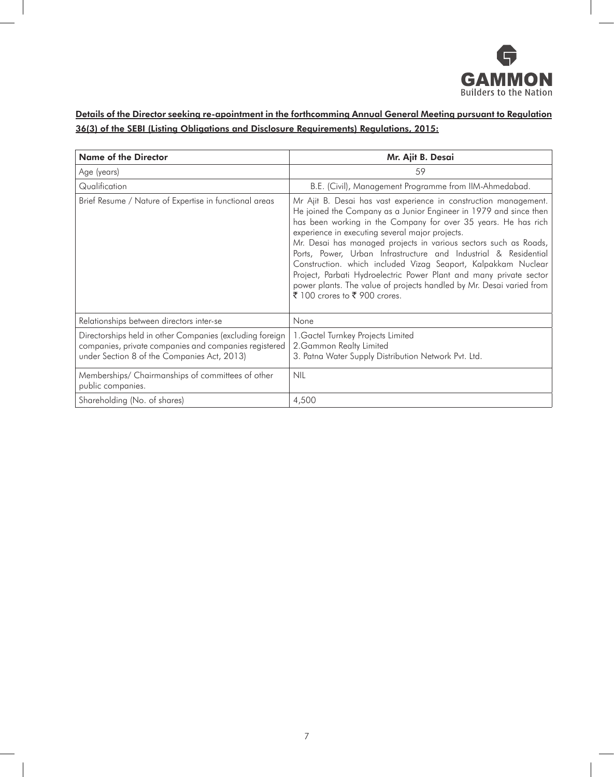

## Details of the Director seeking re-apointment in the forthcomming Annual General Meeting pursuant to Regulation 36(3) of the SEBI (Listing Obligations and Disclosure Requirements) Regulations, 2015:

| <b>Name of the Director</b>                                                                                                                                      | Mr. Ajit B. Desai                                                                                                                                                                                                                                                                                                                                                                                                                                                                                                                                                                                                                                 |  |
|------------------------------------------------------------------------------------------------------------------------------------------------------------------|---------------------------------------------------------------------------------------------------------------------------------------------------------------------------------------------------------------------------------------------------------------------------------------------------------------------------------------------------------------------------------------------------------------------------------------------------------------------------------------------------------------------------------------------------------------------------------------------------------------------------------------------------|--|
| Age (years)                                                                                                                                                      | 59                                                                                                                                                                                                                                                                                                                                                                                                                                                                                                                                                                                                                                                |  |
| Qualification                                                                                                                                                    | B.E. (Civil), Management Programme from IIM-Ahmedabad.                                                                                                                                                                                                                                                                                                                                                                                                                                                                                                                                                                                            |  |
| Brief Resume / Nature of Expertise in functional areas                                                                                                           | Mr Ajit B. Desai has vast experience in construction management.<br>He joined the Company as a Junior Engineer in 1979 and since then<br>has been working in the Company for over 35 years. He has rich<br>experience in executing several major projects.<br>Mr. Desai has managed projects in various sectors such as Roads,<br>Ports, Power, Urban Infrastructure and Industrial & Residential<br>Construction. which included Vizag Seaport, Kalpakkam Nuclear<br>Project, Parbati Hydroelectric Power Plant and many private sector<br>power plants. The value of projects handled by Mr. Desai varied from<br>₹ 100 crores to ₹ 900 crores. |  |
| Relationships between directors inter-se                                                                                                                         | None                                                                                                                                                                                                                                                                                                                                                                                                                                                                                                                                                                                                                                              |  |
| Directorships held in other Companies (excluding foreign<br>companies, private companies and companies registered<br>under Section 8 of the Companies Act, 2013) | 1. Gactel Turnkey Projects Limited<br>2. Gammon Realty Limited<br>3. Patna Water Supply Distribution Network Pvt. Ltd.                                                                                                                                                                                                                                                                                                                                                                                                                                                                                                                            |  |
| Memberships/ Chairmanships of committees of other<br>public companies.                                                                                           | <b>NIL</b>                                                                                                                                                                                                                                                                                                                                                                                                                                                                                                                                                                                                                                        |  |
| Shareholding (No. of shares)                                                                                                                                     | 4,500                                                                                                                                                                                                                                                                                                                                                                                                                                                                                                                                                                                                                                             |  |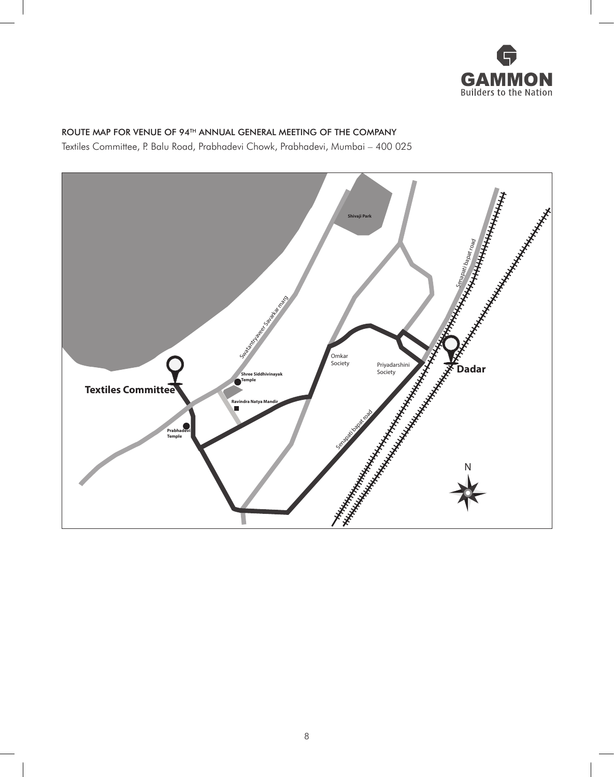

## ROUTE MAP FOR VENUE OF 94<sup>TH</sup> ANNUAL GENERAL MEETING OF THE COMPANY

Textiles Committee, P. Balu Road, Prabhadevi Chowk, Prabhadevi, Mumbai - 400 025

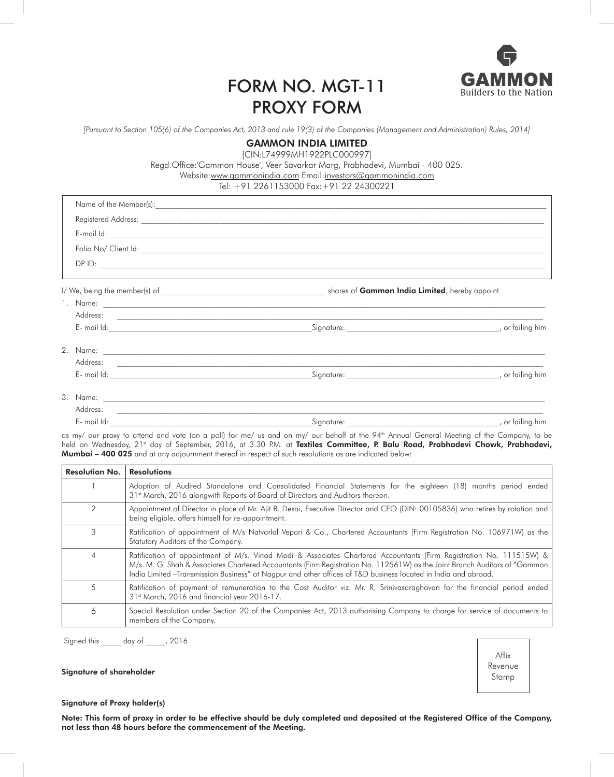

# Form No. MGT-11 PROXY FORM

*[Pursuant to Section 105(6) of the Companies Act, 2013 and rule 19(3) of the Companies (Management and Administration) Rules, 2014]*

## GAMMON INDIA LIMITED

[CIN:L74999MH1922PLC000997]

Regd.Office:'Gammon House', Veer Savarkar Marg, Prabhadevi, Mumbai - 400 025.

Website:www.gammonindia.com Email:investors@gammonindia.com

### Tel: +91 2261153000 Fax:+91 22 24300221

| ,我们也不能会有什么。""我们的人,我们也不能会有什么?""我们的人,我们也不能会有什么?""我们的人,我们也不能会有什么?""我们的人,我们也不能会有什么?"" |  |
|-----------------------------------------------------------------------------------|--|
|                                                                                   |  |
|                                                                                   |  |
|                                                                                   |  |
|                                                                                   |  |
|                                                                                   |  |
|                                                                                   |  |
|                                                                                   |  |
| $\cdots$ $\cdots$                                                                 |  |

| mail<br>____ |      | nır<br>мш |
|--------------|------|-----------|
|              | ____ |           |

as my/ our proxy to attend and vote (on a poll) for me/ us and on my/ our behalf at the 94<sup>th</sup> Annual General Meeting of the Company, to be held on Wednesday, 21st day of September, 2016, at 3.30 P.M. at Textiles Committee, P. Balu Road, Prabhadevi Chowk, Prabhadevi, **Mumbai – 400 025** and at any adjournment thereof in respect of such resolutions as are indicated below:

| <b>Resolution No.</b> | <b>Resolutions</b>                                                                                                                                                                                                                                                                                                                                                  |
|-----------------------|---------------------------------------------------------------------------------------------------------------------------------------------------------------------------------------------------------------------------------------------------------------------------------------------------------------------------------------------------------------------|
|                       | Adoption of Audited Standalone and Consolidated Financial Statements for the eighteen (18) months period ended<br>31 <sup>st</sup> March, 2016 alongwith Reports of Board of Directors and Auditors thereon.                                                                                                                                                        |
|                       | Appointment of Director in place of Mr. Ajit B. Desai, Executive Director and CEO (DIN: 00105836) who retires by rotation and<br>being eligible, offers himself for re-appointment.                                                                                                                                                                                 |
| 3                     | Ratification of appointment of M/s Natvarlal Vepari & Co., Chartered Accountants (Firm Registration No. 106971W) as the<br>Statutory Auditors of the Company.                                                                                                                                                                                                       |
| 4                     | Ratification of appointment of M/s. Vinod Modi & Associates Chartered Accountants (Firm Registration No. 111515W) &<br>M/s. M. G. Shah & Associates Chartered Accountants (Firm Registration No. 112561W) as the Joint Branch Auditors of "Gammon<br>India Limited -Transmission Business" at Nagpur and other offices of T&D business located in India and abroad. |
| 5                     | Ratification of payment of remuneration to the Cost Auditor viz. Mr. R. Srinivasaraghavan for the financial period ended<br>31 <sup>st</sup> March, 2016 and financial year 2016-17.                                                                                                                                                                                |
| Ô                     | Special Resolution under Section 20 of the Companies Act, 2013 authorising Company to charge for service of documents to<br>members of the Company.                                                                                                                                                                                                                 |

Signed this \_\_\_\_\_ day of \_\_\_\_\_, 2016



#### Signature of shareholder

#### Signature of Proxy holder(s)

Note: This form of proxy in order to be effective should be duly completed and deposited at the Registered Office of the Company, not less than 48 hours before the commencement of the Meeting.